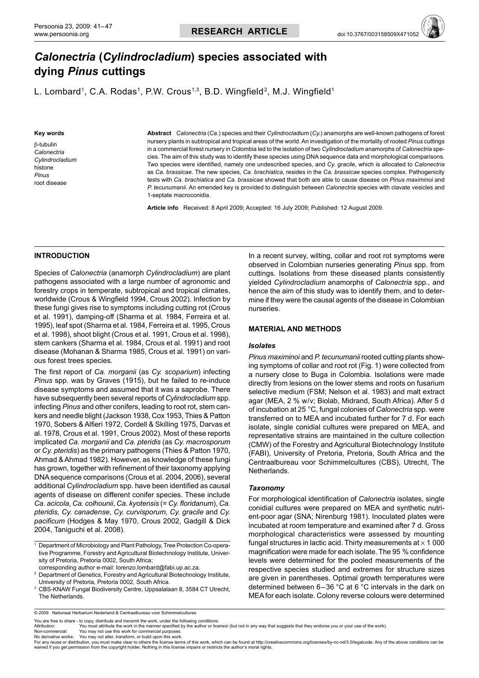# *Calonectria* **(***Cylindrocladium***) species associated with dying** *Pinus* **cuttings**

L. Lombard<sup>1</sup>, C.A. Rodas<sup>1</sup>, P.W. Crous<sup>1,3</sup>, B.D. Wingfield<sup>2</sup>, M.J. Wingfield<sup>1</sup>

#### **Key words**

β-tubulin *Calonectria Cylindrocladium* histone *Pinus* root disease

**Abstract** *Calonectria* (*Ca.*) species and their *Cylindrocladium* (*Cy.*) anamorphs are well-known pathogens of forest nursery plants in subtropical and tropical areas of the world. An investigation of the mortality of rooted *Pinus* cuttings in a commercial forest nursery in Colombia led to the isolation of two *Cylindrocladium* anamorphs of *Calonectria* species. The aim of this study was to identify these species using DNA sequence data and morphological comparisons. Two species were identified, namely one undescribed species, and *Cy. gracile*, which is allocated to *Calonectria* as *Ca. brassicae*. The new species, *Ca. brachiatica*, resides in the *Ca. brassicae* species complex. Pathogenicity tests with *Ca. brachiatica* and *Ca. brassicae* showed that both are able to cause disease on *Pinus maximinoi* and *P. tecunumanii*. An emended key is provided to distinguish between *Calonectria* species with clavate vesicles and 1-septate macroconidia.

**Article info** Received: 8 April 2009; Accepted: 16 July 2009; Published: 12 August 2009.

## **Introduction**

Species of *Calonectria* (anamorph *Cylindrocladium*) are plant pathogens associated with a large number of agronomic and forestry crops in temperate, subtropical and tropical climates, worldwide (Crous & Wingfield 1994, Crous 2002). Infection by these fungi gives rise to symptoms including cutting rot (Crous et al. 1991), damping-off (Sharma et al. 1984, Ferreira et al. 1995), leaf spot (Sharma et al. 1984, Ferreira et al. 1995, Crous et al. 1998), shoot blight (Crous et al. 1991, Crous et al. 1998), stem cankers (Sharma et al. 1984, Crous et al. 1991) and root disease (Mohanan & Sharma 1985, Crous et al. 1991) on various forest trees species.

The first report of *Ca. morganii* (as *Cy. scoparium*) infecting *Pinus* spp. was by Graves (1915), but he failed to re-induce disease symptoms and assumed that it was a saprobe. There have subsequently been several reports of *Cylindrocladium* spp. infecting *Pinus* and other conifers, leading to root rot, stem cankers and needle blight (Jackson 1938, Cox 1953, Thies & Patton 1970, Sobers & Alfieri 1972, Cordell & Skilling 1975, Darvas et al. 1978, Crous et al. 1991, Crous 2002). Most of these reports implicated *Ca. morganii* and *Ca. pteridis* (as *Cy. macrosporum* or *Cy. pteridis*) as the primary pathogens (Thies & Patton 1970, Ahmad & Ahmad 1982). However, as knowledge of these fungi has grown, together with refinement of their taxonomy applying DNA sequence comparisons (Crous et al. 2004, 2006), several additional *Cylindrocladium* spp. have been identified as causal agents of disease on different conifer species. These include *Ca. acicola*, *Ca. colhounii*, *Ca. kyotensis* (= *Cy. floridanum*), *Ca. pteridis, Cy. canadense*, *Cy. curvisporum, Cy. gracile* and *Cy. pacificum* (Hodges & May 1970, Crous 2002, Gadgill & Dick 2004, Taniguchi et al. 2008).

In a recent survey, wilting, collar and root rot symptoms were observed in Colombian nurseries generating *Pinus* spp. from cuttings. Isolations from these diseased plants consistently yielded *Cylindrocladium* anamorphs of *Calonectria* spp., and hence the aim of this study was to identify them, and to determine if they were the causal agents of the disease in Colombian nurseries.

## **Material and methods**

## *Isolates*

*Pinus maximinoi* and *P. tecunumanii* rooted cutting plants showing symptoms of collar and root rot (Fig. 1) were collected from a nursery close to Buga in Colombia. Isolations were made directly from lesions on the lower stems and roots on fusarium selective medium (FSM; Nelson et al. 1983) and malt extract agar (MEA, 2 % w/v; Biolab, Midrand, South Africa). After 5 d of incubation at 25 °C, fungal colonies of *Calonectria* spp. were transferred on to MEA and incubated further for 7 d. For each isolate, single conidial cultures were prepared on MEA, and representative strains are maintained in the culture collection (CMW) of the Forestry and Agricultural Biotechnology Institute (FABI), University of Pretoria, Pretoria, South Africa and the Centraalbureau voor Schimmelcultures (CBS), Utrecht, The Netherlands.

## *Taxonomy*

For morphological identification of *Calonectria* isolates, single conidial cultures were prepared on MEA and synthetic nutrient-poor agar (SNA; Nirenburg 1981). Inoculated plates were incubated at room temperature and examined after 7 d. Gross morphological characteristics were assessed by mounting fungal structures in lactic acid. Thirty measurements at  $\times$  1 000 magnification were made for each isolate. The 95 % confidence levels were determined for the pooled measurements of the respective species studied and extremes for structure sizes are given in parentheses. Optimal growth temperatures were determined between 6–36 °C at 6 °C intervals in the dark on MEA for each isolate. Colony reverse colours were determined

You are free to share - to copy, distribute and transmit the work, under the following conditions<br>Attribution: You must attribute the work in the manner specified by the author or lice

Non-commercial: You may not use this work for commercial purposes.<br>No derivative works: You may not alter, transform, or build upon this work.<br>For any reuse or distribution, you must make clear to others the tlicense ter waived if you get permission from the copyright holder. Nothing in this license impairs or restricts the author's moral rights.

<sup>1</sup> Department of Microbiology and Plant Pathology, Tree Protection Co-operative Programme, Forestry and Agricultural Biotechnology Institute, University of Pretoria, Pretoria 0002, South Africa; corresponding author e-mail: lorenzo.lombard@fabi.up.ac.za.

<sup>&</sup>lt;sup>2</sup> Department of Genetics, Forestry and Agricultural Biotechnology Institute, University of Pretoria, Pretoria 0002, South Africa.

<sup>3</sup> CBS-KNAW Fungal Biodiversity Centre, Uppsalalaan 8, 3584 CT Utrecht, The Netherlands.

<sup>© 2009</sup> Nationaal Herbarium Nederland & Centraalbureau voor Schimmelcultures

You must attribute the work in the manner specified by the author or licensor (but not in any way that suggests that they endorse you or your use of the work).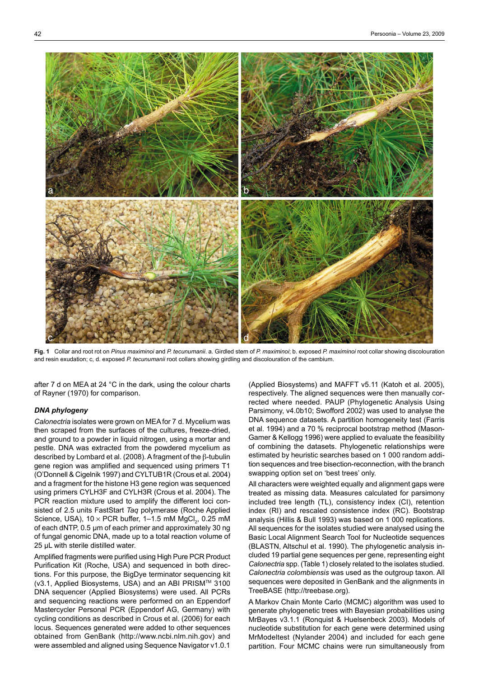

**Fig. 1** Collar and root rot on *Pinus maximinoi* and *P. tecunumanii*. a. Girdled stem of *P. maximinoi*; b. exposed *P. maximinoi* root collar showing discolouration and resin exudation; c, d. exposed *P. tecunumanii* root collars showing girdling and discolouration of the cambium.

after 7 d on MEA at 24 °C in the dark, using the colour charts of Rayner (1970) for comparison.

# *DNA phylogeny*

*Calonectria* isolates were grown on MEA for 7 d. Mycelium was then scraped from the surfaces of the cultures, freeze-dried, and ground to a powder in liquid nitrogen, using a mortar and pestle. DNA was extracted from the powdered mycelium as described by Lombard et al. (2008). A fragment of the β-tubulin gene region was amplified and sequenced using primers T1 (O'Donnell & Cigelnik 1997) and CYLTUB1R (Crous et al. 2004) and a fragment for the histone H3 gene region was sequenced using primers CYLH3F and CYLH3R (Crous et al. 2004). The PCR reaction mixture used to amplify the different loci consisted of 2.5 units FastStart *Taq* polymerase (Roche Applied Science, USA), 10  $\times$  PCR buffer, 1–1.5 mM MgCl<sub>2</sub>, 0.25 mM of each dNTP, 0.5 µm of each primer and approximately 30 ng of fungal genomic DNA, made up to a total reaction volume of 25 µL with sterile distilled water.

Amplified fragments were purified using High Pure PCR Product Purification Kit (Roche, USA) and sequenced in both directions. For this purpose, the BigDye terminator sequencing kit (v3.1, Applied Biosystems, USA) and an ABI PRISMTM 3100 DNA sequencer (Applied Biosystems) were used. All PCRs and sequencing reactions were performed on an Eppendorf Mastercycler Personal PCR (Eppendorf AG, Germany) with cycling conditions as described in Crous et al. (2006) for each locus. Sequences generated were added to other sequences obtained from GenBank (http://www.ncbi.nlm.nih.gov) and were assembled and aligned using Sequence Navigator v1.0.1

(Applied Biosystems) and MAFFT v5.11 (Katoh et al. 2005), respectively. The aligned sequences were then manually corrected where needed. PAUP (Phylogenetic Analysis Using Parsimony, v4.0b10; Swofford 2002) was used to analyse the DNA sequence datasets. A partition homogeneity test (Farris et al. 1994) and a 70 % reciprocal bootstrap method (Mason-Gamer & Kellogg 1996) were applied to evaluate the feasibility of combining the datasets. Phylogenetic relationships were estimated by heuristic searches based on 1 000 random addition sequences and tree bisection-reconnection, with the branch swapping option set on 'best trees' only.

All characters were weighted equally and alignment gaps were treated as missing data. Measures calculated for parsimony included tree length (TL), consistency index (CI), retention index (RI) and rescaled consistence index (RC). Bootstrap analysis (Hillis & Bull 1993) was based on 1 000 replications. All sequences for the isolates studied were analysed using the Basic Local Alignment Search Tool for Nucleotide sequences (BLASTN, Altschul et al. 1990). The phylogenetic analysis included 19 partial gene sequences per gene, representing eight *Calonectria* spp. (Table 1) closely related to the isolates studied. *Calonectria colombiensis* was used as the outgroup taxon. All sequences were deposited in GenBank and the alignments in TreeBASE (http://treebase.org).

A Markov Chain Monte Carlo (MCMC) algorithm was used to generate phylogenetic trees with Bayesian probabilities using MrBayes v3.1.1 (Ronquist & Huelsenbeck 2003). Models of nucleotide substitution for each gene were determined using MrModeltest (Nylander 2004) and included for each gene partition. Four MCMC chains were run simultaneously from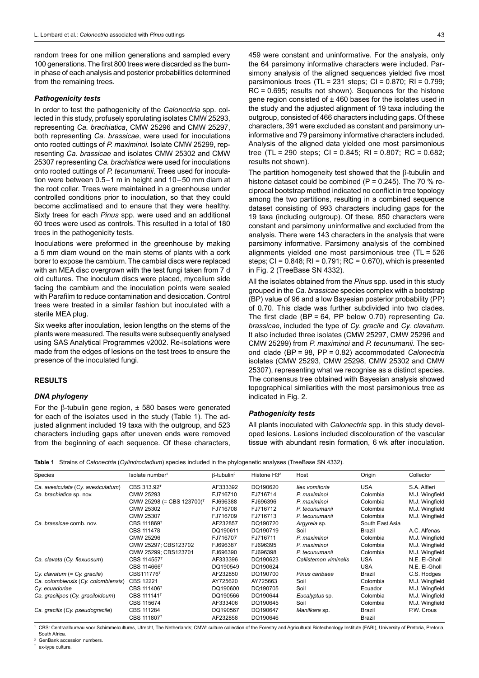random trees for one million generations and sampled every 100 generations. The first 800 trees were discarded as the burnin phase of each analysis and posterior probabilities determined from the remaining trees.

## *Pathogenicity tests*

In order to test the pathogenicity of the *Calonectria* spp. collected in this study, profusely sporulating isolates CMW 25293, representing *Ca. brachiatica*, CMW 25296 and CMW 25297, both representing *Ca. brassicae*, were used for inoculations onto rooted cuttings of *P. maximinoi.* Isolate CMW 25299, representing *Ca. brassicae* and isolates CMW 25302 and CMW 25307 representing *Ca. brachiatica* were used for inoculations onto rooted cuttings of *P. tecunumanii*. Trees used for inoculation were between 0.5–1 m in height and 10–50 mm diam at the root collar. Trees were maintained in a greenhouse under controlled conditions prior to inoculation, so that they could become acclimatised and to ensure that they were healthy. Sixty trees for each *Pinus* spp. were used and an additional 60 trees were used as controls. This resulted in a total of 180 trees in the pathogenicity tests.

Inoculations were preformed in the greenhouse by making a 5 mm diam wound on the main stems of plants with a cork borer to expose the cambium. The cambial discs were replaced with an MEA disc overgrown with the test fungi taken from 7 d old cultures. The inoculum discs were placed, mycelium side facing the cambium and the inoculation points were sealed with Parafilm to reduce contamination and desiccation. Control trees were treated in a similar fashion but inoculated with a sterile MEA plug.

Six weeks after inoculation, lesion lengths on the stems of the plants were measured. The results were subsequently analysed using SAS Analytical Programmes v2002. Re-isolations were made from the edges of lesions on the test trees to ensure the presence of the inoculated fungi.

## **Results**

#### *DNA phylogeny*

For the β-tubulin gene region,  $±$  580 bases were generated for each of the isolates used in the study (Table 1). The adjusted alignment included 19 taxa with the outgroup, and 523 characters including gaps after uneven ends were removed from the beginning of each sequence. Of these characters,

459 were constant and uninformative. For the analysis, only the 64 parsimony informative characters were included. Parsimony analysis of the aligned sequences yielded five most parsimonious trees  $(TL = 231$  steps;  $Cl = 0.870$ ; RI = 0.799; RC = 0.695; results not shown). Sequences for the histone gene region consisted of  $\pm$  460 bases for the isolates used in the study and the adjusted alignment of 19 taxa including the outgroup, consisted of 466 characters including gaps. Of these characters, 391 were excluded as constant and parsimony uninformative and 79 parsimony informative characters included. Analysis of the aligned data yielded one most parsimonious tree (TL = 290 steps; CI = 0.845; RI = 0.807; RC = 0.682; results not shown).

The partition homogeneity test showed that the β-tubulin and histone dataset could be combined (P =  $0.245$ ). The 70 % reciprocal bootstrap method indicated no conflict in tree topology among the two partitions, resulting in a combined sequence dataset consisting of 993 characters including gaps for the 19 taxa (including outgroup). Of these, 850 characters were constant and parsimony uninformative and excluded from the analysis. There were 143 characters in the analysis that were parsimony informative. Parsimony analysis of the combined alignments yielded one most parsimonious tree (TL = 526 steps; CI =  $0.848$ ; RI =  $0.791$ ; RC =  $0.670$ ), which is presented in Fig. 2 (TreeBase SN 4332).

All the isolates obtained from the *Pinus* spp. used in this study grouped in the *Ca. brassicae* species complex with a bootstrap (BP) value of 96 and a low Bayesian posterior probability (PP) of 0.70. This clade was further subdivided into two clades. The first clade (BP = 64, PP below 0.70) representing *Ca. brassicae*, included the type of *Cy. gracile* and *Cy. clavatum*. It also included three isolates (CMW 25297, CMW 25296 and CMW 25299) from *P. maximinoi* and *P. tecunumanii*. The second clade (BP = 98, PP = 0.82) accommodated *Calonectria* isolates (CMW 25293, CMW 25298, CMW 25302 and CMW 25307), representing what we recognise as a distinct species. The consensus tree obtained with Bayesian analysis showed topographical similarities with the most parsimonious tree as indicated in Fig. 2.

## *Pathogenicity tests*

All plants inoculated with *Calonectria* spp. in this study developed lesions. Lesions included discolouration of the vascular tissue with abundant resin formation, 6 wk after inoculation.

**Table 1** Strains of *Calonectria* (*Cylindrocladium*) species included in the phylogenetic analyses (TreeBase SN 4332).

| <b>Species</b>                      | Isolate number <sup>1</sup>           | $\beta$ -tubulin <sup>2</sup> | Histone $H32$ | Host                  | Origin          | Collector      |
|-------------------------------------|---------------------------------------|-------------------------------|---------------|-----------------------|-----------------|----------------|
| Ca. avesiculata (Cy. avesiculatum)  | CBS 313.92 <sup>T</sup>               | AF333392                      | DQ190620      | Ilex vomitoria        | <b>USA</b>      | S.A. Alfieri   |
| Ca. brachiatica sp. nov.            | CMW 25293                             | FJ716710                      | FJ716714      | P. maximinoi          | Colombia        | M.J. Wingfield |
|                                     | CMW 25298 (= CBS 123700) <sup>T</sup> | FJ696388                      | FJ696396      | P. maximinoi          | Colombia        | M.J. Wingfield |
|                                     | CMW 25302                             | FJ716708                      | FJ716712      | P. tecunumanii        | Colombia        | M.J. Wingfield |
|                                     | CMW 25307                             | FJ716709                      | FJ716713      | P. tecunumanii        | Colombia        | M.J. Wingfield |
| Ca. brassicae comb. nov.            | CBS 111869 <sup>T</sup>               | AF232857                      | DQ190720      | Argyreia sp.          | South East Asia |                |
|                                     | CBS 111478                            | DQ190611                      | DQ190719      | Soil                  | Brazil          | A.C. Alfenas   |
|                                     | CMW 25296                             | FJ716707                      | FJ716711      | P. maximinoi          | Colombia        | M.J. Wingfield |
|                                     | CMW 25297; CBS123702                  | FJ696387                      | FJ696395      | P. maximinoi          | Colombia        | M.J. Wingfield |
|                                     | CMW 25299: CBS123701                  | FJ696390                      | FJ696398      | P. tecunumanii        | Colombia        | M.J. Wingfield |
| Ca. clavata (Cy. flexuosum)         | CBS 114557 <sup>T</sup>               | AF333396                      | DQ190623      | Callistemon viminalis | <b>USA</b>      | N.E. El-Gholl  |
|                                     | CBS 114666 <sup>T</sup>               | DQ190549                      | DQ190624      |                       | <b>USA</b>      | N.E. El-Gholl  |
| $Cy.$ clavatum $(= Cy.$ gracile)    | CBS111776 <sup>T</sup>                | AF232850                      | DQ190700      | Pinus caribaea        | Brazil          | C.S. Hodges    |
| Ca. colombiensis (Cy. colombiensis) | CBS 12221                             | AY725620                      | AY725663      | Soil                  | Colombia        | M.J. Wingfield |
| Cy. ecuadoriae                      | CBS 111406 <sup>T</sup>               | DQ190600                      | DQ190705      | Soil                  | Ecuador         | M.J. Wingfield |
| Ca. gracilipes (Cy. graciloideum)   | CBS 111141 <sup>T</sup>               | DQ190566                      | DQ190644      | Eucalyptus sp.        | Colombia        | M.J. Wingfield |
|                                     | CBS 115674                            | AF333406                      | DQ190645      | Soil                  | Colombia        | M.J. Wingfield |
| Ca. gracilis (Cy. pseudogracile)    | CBS 111284                            | DQ190567                      | DQ190647      | Manilkara sp.         | Brazil          | P.W. Crous     |
|                                     | CBS 111807 <sup>T</sup>               | AF232858                      | DQ190646      |                       | Brazil          |                |

<sup>1</sup> CBS: Centraalbureau voor Schimmelcultures, Utrecht, The Netherlands; CMW: culture collection of the Forestry and Agricultural Biotechnology Institute (FABI), University of Pretoria, Pretoria, South Africa.

GenBank accession numbers.

 $T$  ex-type culture.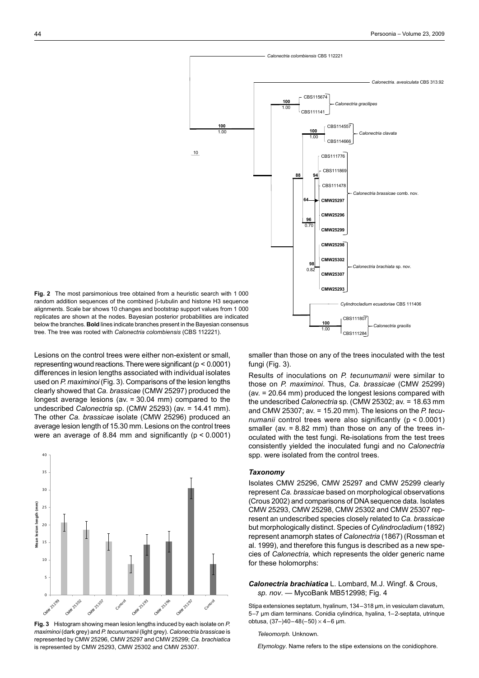

**Fig. 2** The most parsimonious tree obtained from a heuristic search with 1 000 random addition sequences of the combined β-tubulin and histone H3 sequence alignments. Scale bar shows 10 changes and bootstrap support values from 1 000 replicates are shown at the nodes. Bayesian posterior probabilities are indicated below the branches. **Bold** lines indicate branches present in the Bayesian consensus tree. The tree was rooted with *Calonectria colombiensis* (CBS 112221).

Lesions on the control trees were either non-existent or small, representing wound reactions. There were significant ( $p < 0.0001$ ) differences in lesion lengths associated with individual isolates used on *P. maximinoi* (Fig. 3). Comparisons of the lesion lengths clearly showed that *Ca. brassicae* (CMW 25297) produced the longest average lesions (av. = 30.04 mm) compared to the undescribed *Calonectria* sp. (CMW 25293) (av. = 14.41 mm). The other *Ca. brassicae* isolate (CMW 25296) produced an average lesion length of 15.30 mm. Lesions on the control trees were an average of 8.84 mm and significantly (p < 0.0001)



**Fig. 3** Histogram showing mean lesion lengths induced by each isolate on *P. maximinoi* (dark grey) and *P. tecunumanii* (light grey). *Calonectria brassicae* is represented by CMW 25296, CMW 25297 and CMW 25299; *Ca. brachiatica* is represented by CMW 25293, CMW 25302 and CMW 25307.

smaller than those on any of the trees inoculated with the test fungi (Fig. 3).

Results of inoculations on *P. tecunumanii* were similar to those on *P. maximinoi*. Thus, *Ca. brassicae* (CMW 25299) (av. = 20.64 mm) produced the longest lesions compared with the undescribed *Calonectria* sp*.* (CMW 25302; av. = 18.63 mm and CMW 25307; av. = 15.20 mm). The lesions on the *P. tecunumanii* control trees were also significantly (p < 0.0001) smaller (av. = 8.82 mm) than those on any of the trees inoculated with the test fungi. Re-isolations from the test trees consistently yielded the inoculated fungi and no *Calonectria* spp. were isolated from the control trees.

## *Taxonomy*

Isolates CMW 25296, CMW 25297 and CMW 25299 clearly represent *Ca. brassicae* based on morphological observations (Crous 2002) and comparisons of DNA sequence data. Isolates CMW 25293, CMW 25298, CMW 25302 and CMW 25307 represent an undescribed species closely related to *Ca. brassicae*  but morphologically distinct. Species of *Cylindrocladium* (1892) represent anamorph states of *Calonectria* (1867) (Rossman et al. 1999), and therefore this fungus is described as a new species of *Calonectria*, which represents the older generic name for these holomorphs:

*Calonectria brachiatica* L. Lombard, M.J. Wingf. & Crous, *sp. nov*. — MycoBank MB512998; Fig. 4

Stipa extensiones septatum, hyalinum, 134–318 µm, in vesiculam clavatum, 5–7 µm diam terminans. Conidia cylindrica, hyalina, 1–2-septata, utrinque obtusa,  $(37-)40-48(-50) \times 4-6$  µm.

#### *Teleomorph.* Unknown.

*Etymology*. Name refers to the stipe extensions on the conidiophore.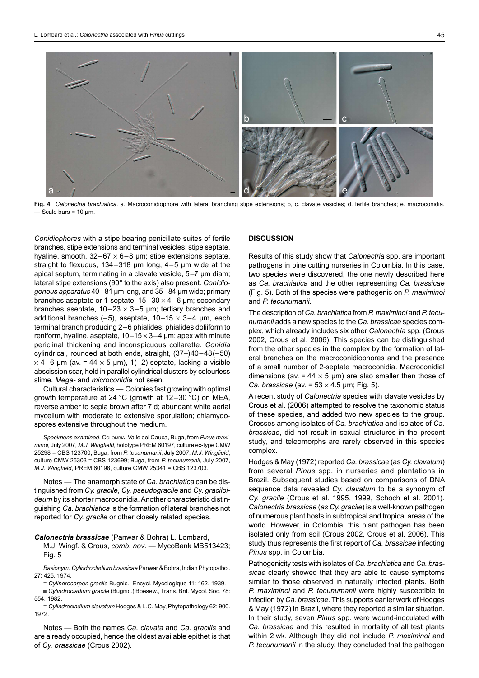

**Fig. 4** *Calonectria brachiatica*. a. Macroconidiophore with lateral branching stipe extensions; b, c. clavate vesicles; d. fertile branches; e. macroconidia. - Scale bars =  $10 \mu m$ .

*Conidiophores* with a stipe bearing penicillate suites of fertile branches, stipe extensions and terminal vesicles; stipe septate, hyaline, smooth,  $32-67 \times 6-8$  µm; stipe extensions septate, straight to flexuous, 134–318 µm long, 4–5 µm wide at the apical septum, terminating in a clavate vesicle, 5–7 µm diam; lateral stipe extensions (90° to the axis) also present. *Conidiogenous apparatus* 40–81 µm long, and 35–84 µm wide; primary branches aseptate or 1-septate,  $15-30 \times 4-6$  µm; secondary branches aseptate,  $10-23 \times 3-5$  µm; tertiary branches and additional branches  $(-5)$ , aseptate,  $10-15 \times 3-4$  µm, each terminal branch producing 2–6 phialides; phialides doliiform to reniform, hyaline, aseptate,  $10-15 \times 3-4$  µm; apex with minute periclinal thickening and inconspicuous collarette. *Conidia* cylindrical, rounded at both ends, straight, (37–)40–48(–50)  $\times$  4–6 µm (av. = 44  $\times$  5 µm), 1(-2)-septate, lacking a visible abscission scar, held in parallel cylindrical clusters by colourless slime. *Mega-* and *microconidia* not seen.

Cultural characteristics — Colonies fast growing with optimal growth temperature at 24 °C (growth at 12–30 °C) on MEA, reverse amber to sepia brown after 7 d; abundant white aerial mycelium with moderate to extensive sporulation; chlamydospores extensive throughout the medium.

*Specimens examined*. Colombia, Valle del Cauca, Buga, from *Pinus maximinoi*, July 2007, *M.J. Wingfield*, holotype PREM 60197, culture ex-type CMW 25298 = CBS 123700; Buga, from *P. tecunumanii*, July 2007, *M.J. Wingfield*, culture CMW 25303 = CBS 123699; Buga, from *P. tecunumanii,* July 2007, *M.J. Wingfield*, PREM 60198, culture CMW 25341 = CBS 123703.

Notes — The anamorph state of *Ca. brachiatica* can be distinguished from *Cy. gracile*, *Cy. pseudogracile* and *Cy. graciloideum* by its shorter macroconidia. Another characteristic distinguishing *Ca. brachiatica* is the formation of lateral branches not reported for *Cy. gracile* or other closely related species.

#### *Calonectria brassicae* (Panwar & Bohra) L. Lombard,

M.J. Wingf. & Crous, *comb. nov*. — MycoBank MB513423; Fig. 5

*Basionym*. *Cylindrocladium brassicae* Panwar & Bohra, Indian Phytopathol. 27: 425. 1974.

= *Cylindrocarpon gracile* Bugnic., Encycl. Mycologique 11: 162. 1939.

≡ *Cylindrocladium gracile* (Bugnic.) Boesew., Trans. Brit. Mycol. Soc. 78: 554. 1982.

= *Cylindrocladium clavatum* Hodges & L.C. May, Phytopathology 62: 900. 1972.

Notes — Both the names *Ca. clavata* and *Ca. gracilis* and are already occupied, hence the oldest available epithet is that of *Cy. brassicae* (Crous 2002).

#### **Discussion**

Results of this study show that *Calonectria* spp. are important pathogens in pine cutting nurseries in Colombia. In this case, two species were discovered, the one newly described here as *Ca. brachiatica* and the other representing *Ca. brassicae*  (Fig. 5). Both of the species were pathogenic on *P. maximinoi* and *P. tecunumanii*.

The description of *Ca. brachiatica* from *P. maximinoi* and *P. tecunumanii* adds a new species to the *Ca. brassicae* species complex, which already includes six other *Calonectria* spp. (Crous 2002, Crous et al. 2006). This species can be distinguished from the other species in the complex by the formation of lateral branches on the macroconidiophores and the presence of a small number of 2-septate macroconidia. Macroconidial dimensions (av. =  $44 \times 5$  µm) are also smaller then those of *Ca. brassicae* (av. =  $53 \times 4.5$  µm; Fig. 5).

A recent study of *Calonectria* species with clavate vesicles by Crous et al. (2006) attempted to resolve the taxonomic status of these species, and added two new species to the group. Crosses among isolates of *Ca. brachiatica* and isolates of *Ca. brassicae*, did not result in sexual structures in the present study, and teleomorphs are rarely observed in this species complex.

Hodges & May (1972) reported *Ca. brassicae* (as *Cy. clavatum*) from several *Pinus* spp. in nurseries and plantations in Brazil. Subsequent studies based on comparisons of DNA sequence data revealed *Cy. clavatum* to be a synonym of *Cy. gracile* (Crous et al. 1995, 1999, Schoch et al. 2001). *Calonectria brassicae* (*as Cy. gracile*) is a well-known pathogen of numerous plant hosts in subtropical and tropical areas of the world. However, in Colombia, this plant pathogen has been isolated only from soil (Crous 2002, Crous et al. 2006). This study thus represents the first report of *Ca. brassicae* infecting *Pinus* spp. in Colombia.

Pathogenicity tests with isolates of *Ca. brachiatica* and *Ca. brassicae* clearly showed that they are able to cause symptoms similar to those observed in naturally infected plants. Both *P. maximinoi* and *P. tecunumanii* were highly susceptible to infection by *Ca. brassicae*. This supports earlier work of Hodges & May (1972) in Brazil, where they reported a similar situation. In their study, seven *Pinus* spp. were wound-inoculated with *Ca. brassicae* and this resulted in mortality of all test plants within 2 wk. Although they did not include *P. maximinoi* and *P. tecunumanii* in the study, they concluded that the pathogen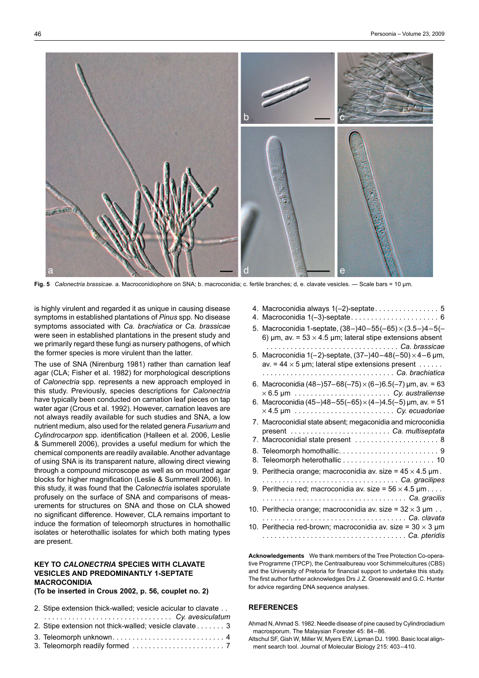

**Fig. 5** *Calonectria brassicae*. a. Macroconidiophore on SNA; b. macroconidia; c. fertile branches; d, e. clavate vesicles. — Scale bars = 10 µm.

is highly virulent and regarded it as unique in causing disease symptoms in established plantations of *Pinus* spp. No disease symptoms associated with *Ca. brachiatica* or *Ca. brassicae* were seen in established plantations in the present study and we primarily regard these fungi as nursery pathogens, of which the former species is more virulent than the latter.

The use of SNA (Nirenburg 1981) rather than carnation leaf agar (CLA; Fisher et al. 1982) for morphological descriptions of *Calonectria* spp. represents a new approach employed in this study. Previously, species descriptions for *Calonectria* have typically been conducted on carnation leaf pieces on tap water agar (Crous et al. 1992). However, carnation leaves are not always readily available for such studies and SNA, a low nutrient medium, also used for the related genera *Fusarium* and *Cylindrocarpon* spp. identification (Halleen et al. 2006, Leslie & Summerell 2006), provides a useful medium for which the chemical components are readily available. Another advantage of using SNA is its transparent nature, allowing direct viewing through a compound microscope as well as on mounted agar blocks for higher magnification (Leslie & Summerell 2006). In this study, it was found that the *Calonectria* isolates sporulate profusely on the surface of SNA and comparisons of measurements for structures on SNA and those on CLA showed no significant difference. However, CLA remains important to induce the formation of teleomorph structures in homothallic isolates or heterothallic isolates for which both mating types are present.

## **Key to** *CALONECTRIA* **species with clavate vesicles and predominantly 1-septate macroconidia**

#### **(To be inserted in Crous 2002, p. 56, couplet no. 2)**

- 2. Stipe extension thick-walled; vesicle acicular to clavate . .
- . . *Cy. avesiculatum* 2. Stipe extension not thick-walled; vesicle clavate  $\dots \dots 3$ 3. Teleomorph unknown . . 4
- 3. Teleomorph readily formed . . 7

| 5. Macroconidia 1-septate, $(38-)40-55(-65) \times (3.5-)4-5(-$<br>6) um, av. = $53 \times 4.5$ um; lateral stipe extensions absent<br>Ca. brassicae                 |
|----------------------------------------------------------------------------------------------------------------------------------------------------------------------|
| 5. Macroconidia 1(-2)-septate, $(37-)40-48(-50) \times 4-6$ µm,<br>av. = $44 \times 5$ µm; lateral stipe extensions present $\dots \dots$                            |
| 6. Macroconidia (48-)57-68(-75) $\times$ (6-)6.5(-7) µm, av. = 63<br>$\times$ 6.5 µm $\ldots$ $\ldots$ $\ldots$ $\ldots$ $\ldots$ $\ldots$ $\ldots$ Cy. australiense |
| 6. Macroconidia (45-)48-55(-65) $\times$ (4-)4.5(-5) µm, av. = 51<br>$\times$ 4.5 µm $\ldots \ldots \ldots \ldots \ldots \ldots \ldots \ldots$ Cy. ecuadoriae        |
| 7. Macroconidial state absent; megaconidia and microconidia                                                                                                          |
| 7. Macroconidial state present  8                                                                                                                                    |
|                                                                                                                                                                      |
| 9. Perithecia orange; macroconidia av. size = $45 \times 4.5$ µm.<br>Ca. gracilipes                                                                                  |
| 9. Perithecia red; macroconidia av. size = $56 \times 4.5 \mu m$<br>Ca. gracilis                                                                                     |
| 10. Perithecia orange; macroconidia av. size = $32 \times 3$ µm<br>Ca. clavata                                                                                       |
| 10. Perithecia red-brown; macroconidia av. size = $30 \times 3$ µm                                                                                                   |

**Acknowledgements** We thank members of the Tree Protection Co-operative Programme (TPCP), the Centraalbureau voor Schimmelcultures (CBS) and the University of Pretoria for financial support to undertake this study. The first author further acknowledges Drs J.Z. Groenewald and G.C. Hunter for advice regarding DNA sequence analyses.

## **References**

Ahmad N, Ahmad S. 1982. Needle disease of pine caused by Cylindrocladium macrosporum. The Malaysian Forester 45: 84–86.

Altschul SF, Gish W, Miller W, Myers EW, Lipman DJ. 1990. Basic local alignment search tool. Journal of Molecular Biology 215: 403–410.